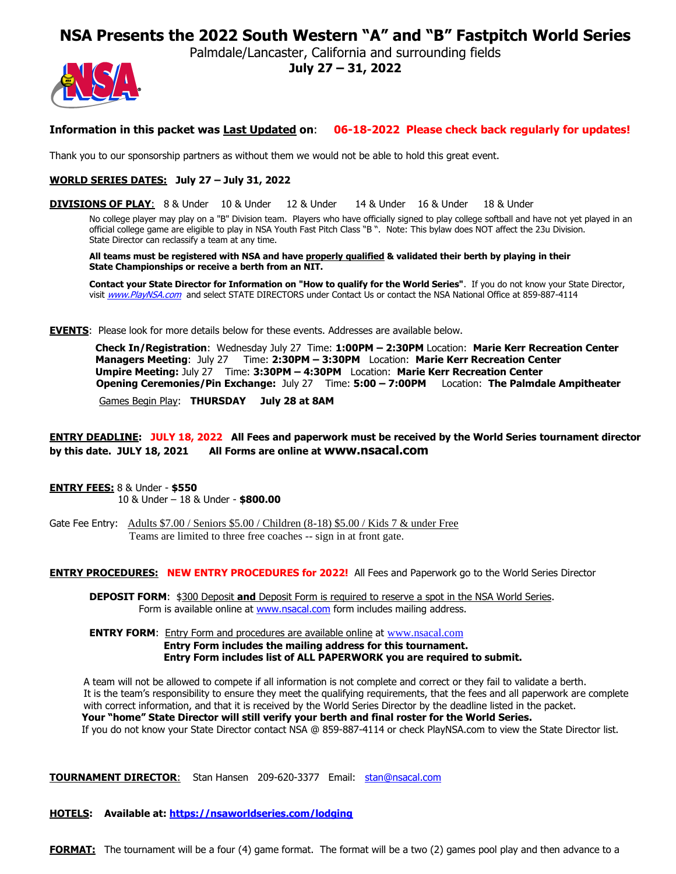# **NSA Presents the 2022 South Western "A" and "B" Fastpitch World Series**

Palmdale/Lancaster, California and surrounding fields



**July 27 – 31, 2022**

### **Information in this packet was Last Updated on**: **06-18-2022 Please check back regularly for updates!**

Thank you to our sponsorship partners as without them we would not be able to hold this great event.

#### **WORLD SERIES DATES: July 27 – July 31, 2022**

**DIVISIONS OF PLAY**: 8 & Under 10 & Under 12 & Under 14 & Under 16 & Under 18 & Under

No college player may play on a "B" Division team. Players who have officially signed to play college softball and have not yet played in an official college game are eligible to play in NSA Youth Fast Pitch Class "B ". Note: This bylaw does NOT affect the 23u Division. State Director can reclassify a team at any time.

**All teams must be registered with NSA and have properly qualified & validated their berth by playing in their State Championships or receive a berth from an NIT.**

**Contact your State Director for Information on "How to qualify for the World Series"**. If you do not know your State Director, visit [www.PlayNSA.com](http://www.playnsa.com/) and select STATE DIRECTORS under Contact Us or contact the NSA National Office at 859-887-4114

**EVENTS**: Please look for more details below for these events. Addresses are available below.

 **Check In/Registration**: Wednesday July 27 Time: **1:00PM – 2:30PM** Location: **Marie Kerr Recreation Center Managers Meeting**: July 27 Time: **2:30PM – 3:30PM** Location: **Marie Kerr Recreation Center Umpire Meeting:** July 27 Time: **3:30PM – 4:30PM** Location: **Marie Kerr Recreation Center Opening Ceremonies/Pin Exchange:** July 27 Time: **5:00 – 7:00PM** Location: **The Palmdale Ampitheater**

Games Begin Play: **THURSDAY July 28 at 8AM**

**ENTRY DEADLINE: JULY 18, 2022 All Fees and paperwork must be received by the World Series tournament director by this date. JULY 18, 2021 All Forms are online at www.nsacal.com**

**ENTRY FEES:** 8 & Under - **\$550** 10 & Under – 18 & Under - **\$800.00**

Gate Fee Entry: Adults  $$7.00 /$  Seniors  $$5.00 /$  Children  $(8-18)$   $$5.00 /$  Kids 7 & under Free Teams are limited to three free coaches -- sign in at front gate.

#### **ENTRY PROCEDURES: NEW ENTRY PROCEDURES for 2022!** All Fees and Paperwork go to the World Series Director

**DEPOSIT FORM**: \$300 Deposit **and** Deposit Form is required to reserve a spot in the NSA World Series. Form is available online at [www.nsacal.com](http://www.nsacal.com/) form includes mailing address.

**ENTRY FORM:** Entry Form and procedures are available online at [www.nsacal.com](https://nsacal.com/) **Entry Form includes the mailing address for this tournament. Entry Form includes list of ALL PAPERWORK you are required to submit.**

 A team will not be allowed to compete if all information is not complete and correct or they fail to validate a berth. It is the team's responsibility to ensure they meet the qualifying requirements, that the fees and all paperwork are complete with correct information, and that it is received by the World Series Director by the deadline listed in the packet.  **Your "home" State Director will still verify your berth and final roster for the World Series.** If you do not know your State Director contact NSA @ 859-887-4114 or check PlayNSA.com to view the State Director list.

**TOURNAMENT DIRECTOR**: Stan Hansen 209-620-3377 Email: [stan@nsacal.com](mailto:stan@nsacal.com)

**HOTELS: Available at:<https://nsaworldseries.com/lodging>**

**FORMAT:** The tournament will be a four (4) game format. The format will be a two (2) games pool play and then advance to a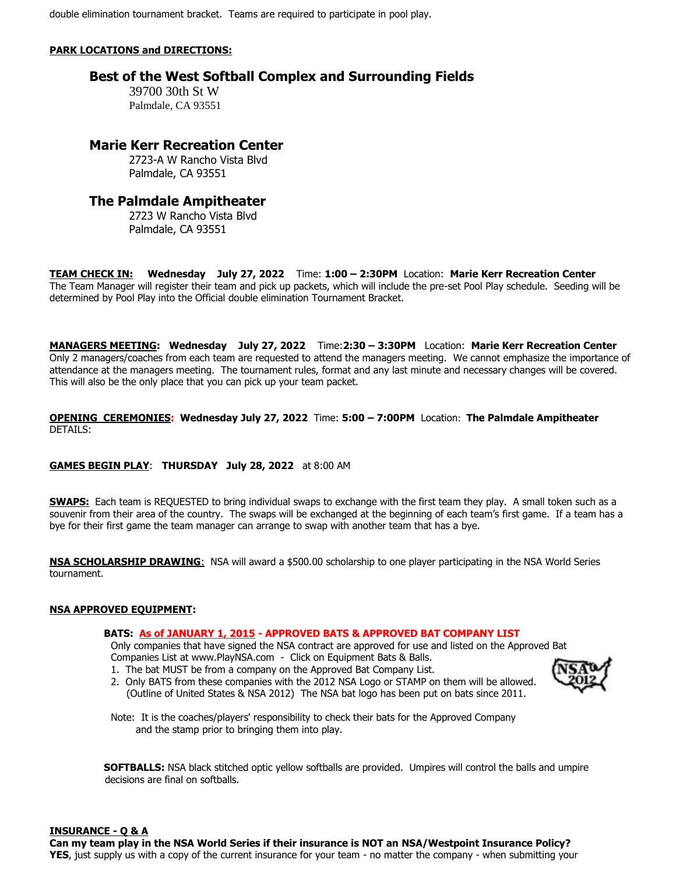### **PARK LOCATIONS and DIRECTIONS:**

## **Best of the West Softball Complex and Surrounding Fields**

39700 30th St W Palmdale, CA 93551

### **Marie Kerr Recreation Center**

2723-A W Rancho Vista Blvd Palmdale, CA 93551

### **The Palmdale Ampitheater**

2723 W Rancho Vista Blvd Palmdale, CA 93551

**TEAM CHECK IN: Wednesday July 27, 2022** Time: **1:00 – 2:30PM** Location: **Marie Kerr Recreation Center** The Team Manager will register their team and pick up packets, which will include the pre-set Pool Play schedule. Seeding will be determined by Pool Play into the Official double elimination Tournament Bracket.

**MANAGERS MEETING: Wednesday July 27, 2022** Time:**2:30 – 3:30PM** Location: **Marie Kerr Recreation Center** Only 2 managers/coaches from each team are requested to attend the managers meeting. We cannot emphasize the importance of attendance at the managers meeting. The tournament rules, format and any last minute and necessary changes will be covered. This will also be the only place that you can pick up your team packet.

**OPENING CEREMONIES: Wednesday July 27, 2022** Time: **5:00 – 7:00PM** Location: **The Palmdale Ampitheater** DETAILS:

### **GAMES BEGIN PLAY**: **THURSDAY July 28, 2022** at 8:00 AM

**SWAPS:** Each team is REQUESTED to bring individual swaps to exchange with the first team they play. A small token such as a souvenir from their area of the country. The swaps will be exchanged at the beginning of each team's first game. If a team has a bye for their first game the team manager can arrange to swap with another team that has a bye.

**NSA SCHOLARSHIP DRAWING**: NSA will award a \$500.00 scholarship to one player participating in the NSA World Series tournament.

### **NSA APPROVED EQUIPMENT:**

### **BATS: As of JANUARY 1, 2015 - APPROVED BATS & APPROVED BAT COMPANY LIST**

 Only companies that have signed the NSA contract are approved for use and listed on the Approved Bat Companies List at www.PlayNSA.com - Click on Equipment Bats & Balls.

1. The bat MUST be from a company on the Approved Bat Company List.

 2. Only BATS from these companies with the 2012 NSA Logo or STAMP on them will be allowed. (Outline of United States & NSA 2012) The NSA bat logo has been put on bats since 2011.

 Note: It is the coaches/players' responsibility to check their bats for the Approved Company and the stamp prior to bringing them into play.

**SOFTBALLS:** NSA black stitched optic yellow softballs are provided. Umpires will control the balls and umpire decisions are final on softballs.